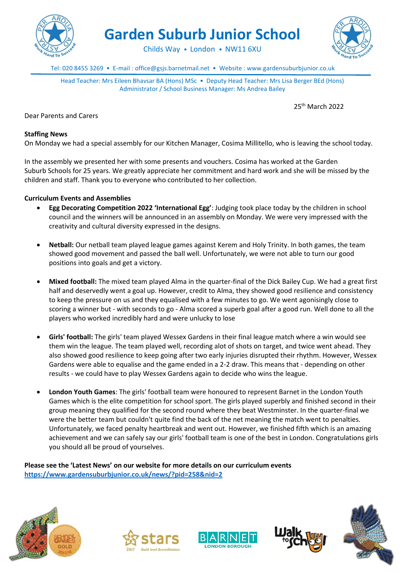

**Garden Suburb Junior School**

Childs Way • London • NW11 6XU



Tel: 020 8455 3269 • E-mail : office@gsjs.barnetmail.net • Website : www.gardensuburbjunior.co.uk

Head Teacher: Mrs Eileen Bhavsar BA (Hons) MSc • Deputy Head Teacher: Mrs Lisa Berger BEd (Hons) Administrator / School Business Manager: Ms Andrea Bailey

25th March 2022

Dear Parents and Carers

## **Staffing News**

On Monday we had a special assembly for our Kitchen Manager, Cosima Millitello, who is leaving the school today.

In the assembly we presented her with some presents and vouchers. Cosima has worked at the Garden Suburb Schools for 25 years. We greatly appreciate her commitment and hard work and she will be missed by the children and staff. Thank you to everyone who contributed to her collection.

#### **Curriculum Events and Assemblies**

- **Egg Decorating Competition 2022 'International Egg'**: Judging took place today by the children in school council and the winners will be announced in an assembly on Monday. We were very impressed with the creativity and cultural diversity expressed in the designs.
- **Netball:** Our netball team played league games against Kerem and Holy Trinity. In both games, the team showed good movement and passed the ball well. Unfortunately, we were not able to turn our good positions into goals and get a victory.
- **Mixed football:** The mixed team played Alma in the quarter-final of the Dick Bailey Cup. We had a great first half and deservedly went a goal up. However, credit to Alma, they showed good resilience and consistency to keep the pressure on us and they equalised with a few minutes to go. We went agonisingly close to scoring a winner but - with seconds to go - Alma scored a superb goal after a good run. Well done to all the players who worked incredibly hard and were unlucky to lose
- **Girls' football:** The girls' team played Wessex Gardens in their final league match where a win would see them win the league. The team played well, recording alot of shots on target, and twice went ahead. They also showed good resilience to keep going after two early injuries disrupted their rhythm. However, Wessex Gardens were able to equalise and the game ended in a 2-2 draw. This means that - depending on other results - we could have to play Wessex Gardens again to decide who wins the league.
- **London Youth Games**: The girls' football team were honoured to represent Barnet in the London Youth Games which is the elite competition for school sport. The girls played superbly and finished second in their group meaning they qualified for the second round where they beat Westminster. In the quarter-final we were the better team but couldn't quite find the back of the net meaning the match went to penalties. Unfortunately, we faced penalty heartbreak and went out. However, we finished fifth which is an amazing achievement and we can safely say our girls' football team is one of the best in London. Congratulations girls you should all be proud of yourselves.

**Please see the 'Latest News' on our website for more details on our curriculum events <https://www.gardensuburbjunior.co.uk/news/?pid=258&nid=2>**